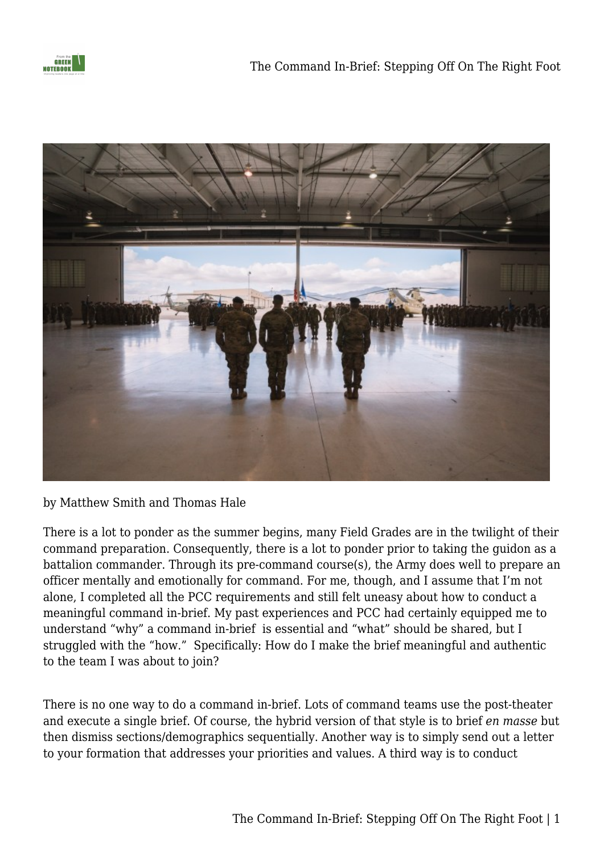



by Matthew Smith and Thomas Hale

There is a lot to ponder as the summer begins, many Field Grades are in the twilight of their command preparation. Consequently, there is a lot to ponder prior to taking the guidon as a battalion commander. Through its pre-command course(s), the Army does well to prepare an officer mentally and emotionally for command. For me, though, and I assume that I'm not alone, I completed all the PCC requirements and still felt uneasy about how to conduct a meaningful command in-brief. My past experiences and PCC had certainly equipped me to understand "why" a command in-brief is essential and "what" should be shared, but I struggled with the "how." Specifically: How do I make the brief meaningful and authentic to the team I was about to join?

There is no one way to do a command in-brief. Lots of command teams use the post-theater and execute a single brief. Of course, the hybrid version of that style is to brief *en masse* but then dismiss sections/demographics sequentially. Another way is to simply send out a letter to your formation that addresses your priorities and values. A third way is to conduct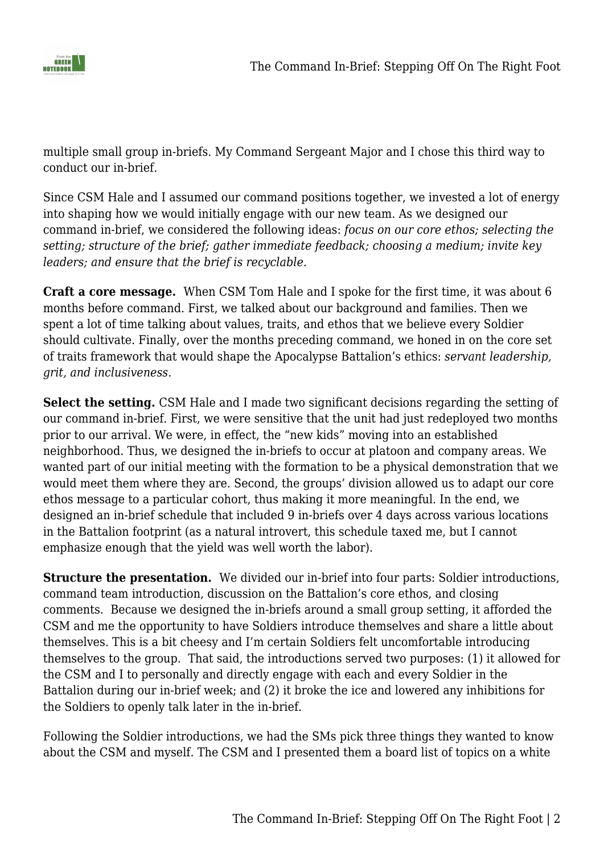

multiple small group in-briefs. My Command Sergeant Major and I chose this third way to conduct our in-brief.

Since CSM Hale and I assumed our command positions together, we invested a lot of energy into shaping how we would initially engage with our new team. As we designed our command in-brief, we considered the following ideas: *focus on our core ethos; selecting the setting; structure of the brief; gather immediate feedback; choosing a medium; invite key leaders; and ensure that the brief is recyclable.* 

**Craft a core message.** When CSM Tom Hale and I spoke for the first time, it was about 6 months before command. First, we talked about our background and families. Then we spent a lot of time talking about values, traits, and ethos that we believe every Soldier should cultivate. Finally, over the months preceding command, we honed in on the core set of traits framework that would shape the Apocalypse Battalion's ethics: *servant leadership, grit, and inclusiveness.*

**Select the setting.** CSM Hale and I made two significant decisions regarding the setting of our command in-brief. First, we were sensitive that the unit had just redeployed two months prior to our arrival. We were, in effect, the "new kids" moving into an established neighborhood. Thus, we designed the in-briefs to occur at platoon and company areas. We wanted part of our initial meeting with the formation to be a physical demonstration that we would meet them where they are. Second, the groups' division allowed us to adapt our core ethos message to a particular cohort, thus making it more meaningful. In the end, we designed an in-brief schedule that included 9 in-briefs over 4 days across various locations in the Battalion footprint (as a natural introvert, this schedule taxed me, but I cannot emphasize enough that the yield was well worth the labor).

**Structure the presentation.** We divided our in-brief into four parts: Soldier introductions, command team introduction, discussion on the Battalion's core ethos, and closing comments. Because we designed the in-briefs around a small group setting, it afforded the CSM and me the opportunity to have Soldiers introduce themselves and share a little about themselves. This is a bit cheesy and I'm certain Soldiers felt uncomfortable introducing themselves to the group. That said, the introductions served two purposes: (1) it allowed for the CSM and I to personally and directly engage with each and every Soldier in the Battalion during our in-brief week; and (2) it broke the ice and lowered any inhibitions for the Soldiers to openly talk later in the in-brief.

Following the Soldier introductions, we had the SMs pick three things they wanted to know about the CSM and myself. The CSM and I presented them a board list of topics on a white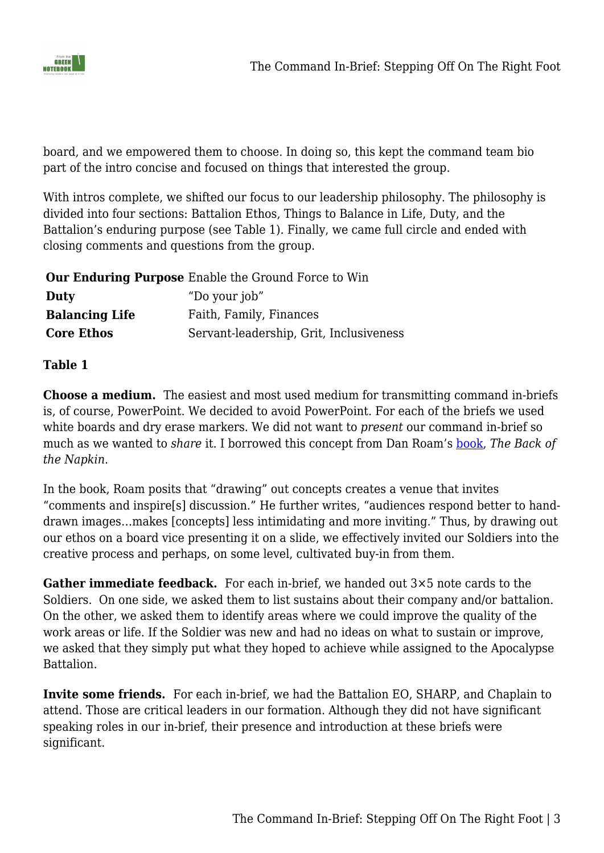

board, and we empowered them to choose. In doing so, this kept the command team bio part of the intro concise and focused on things that interested the group.

With intros complete, we shifted our focus to our leadership philosophy. The philosophy is divided into four sections: Battalion Ethos, Things to Balance in Life, Duty, and the Battalion's enduring purpose (see Table 1). Finally, we came full circle and ended with closing comments and questions from the group.

|                       | <b>Our Enduring Purpose</b> Enable the Ground Force to Win |
|-----------------------|------------------------------------------------------------|
| Duty                  | "Do your job"                                              |
| <b>Balancing Life</b> | Faith, Family, Finances                                    |
| <b>Core Ethos</b>     | Servant-leadership, Grit, Inclusiveness                    |

## **Table 1**

**Choose a medium.** The easiest and most used medium for transmitting command in-briefs is, of course, PowerPoint. We decided to avoid PowerPoint. For each of the briefs we used white boards and dry erase markers. We did not want to *present* our command in-brief so much as we wanted to *share* it. I borrowed this concept from Dan Roam's [book](https://www.amazon.com/Back-Napkin-Expanded-Problems-Pictures/dp/1591842697/ref=sr_1_1?dchild=1&keywords=the+back+of+the+napkin&qid=1625011931&sr=8-1), *The Back of the Napkin*.

In the book, Roam posits that "drawing" out concepts creates a venue that invites "comments and inspire[s] discussion." He further writes, "audiences respond better to handdrawn images…makes [concepts] less intimidating and more inviting." Thus, by drawing out our ethos on a board vice presenting it on a slide, we effectively invited our Soldiers into the creative process and perhaps, on some level, cultivated buy-in from them.

**Gather immediate feedback.** For each in-brief, we handed out 3×5 note cards to the Soldiers. On one side, we asked them to list sustains about their company and/or battalion. On the other, we asked them to identify areas where we could improve the quality of the work areas or life. If the Soldier was new and had no ideas on what to sustain or improve, we asked that they simply put what they hoped to achieve while assigned to the Apocalypse Battalion.

**Invite some friends.** For each in-brief, we had the Battalion EO, SHARP, and Chaplain to attend. Those are critical leaders in our formation. Although they did not have significant speaking roles in our in-brief, their presence and introduction at these briefs were significant.